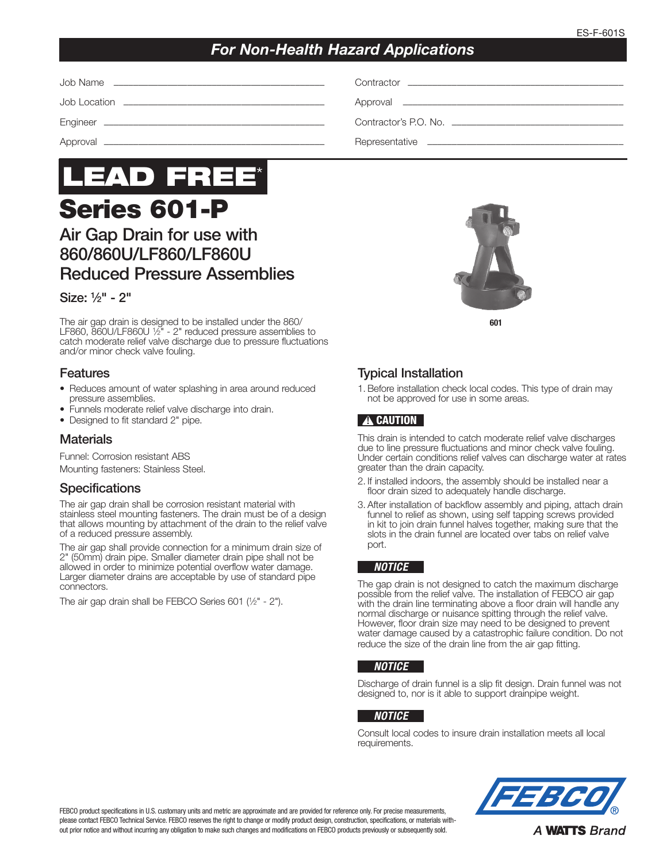## *For Non-Health Hazard Applications*

| Job Name<br><u> 1980 - Johann Stoff, amerikansk politiker (d. 1980)</u> |  |
|-------------------------------------------------------------------------|--|
|                                                                         |  |
|                                                                         |  |
|                                                                         |  |

# Series 601-P LEAD FREE\*

# Air Gap Drain for use with 860/860U/LF860/LF860U Reduced Pressure Assemblies

## Size: 1⁄2" - 2"

The air gap drain is designed to be installed under the 860/ LF860, 860U/LF860U <sup>1</sup>/2" - 2" reduced pressure assemblies to catch moderate relief valve discharge due to pressure fluctuations and/or minor check valve fouling.

## Features

- Reduces amount of water splashing in area around reduced pressure assemblies.
- Funnels moderate relief valve discharge into drain.
- Designed to fit standard 2" pipe.

## Materials

Funnel: Corrosion resistant ABS Mounting fasteners: Stainless Steel.

## **Specifications**

The air gap drain shall be corrosion resistant material with stainless steel mounting fasteners. The drain must be of a design that allows mounting by attachment of the drain to the relief valve of a reduced pressure assembly.

The air gap shall provide connection for a minimum drain size of 2" (50mm) drain pipe. Smaller diameter drain pipe shall not be allowed in order to minimize potential overflow water damage. Larger diameter drains are acceptable by use of standard pipe connectors.

The air gap drain shall be FEBCO Series 601 (1⁄2" - 2").



601

## Typical Installation

1. Before installation check local codes. This type of drain may not be approved for use in some areas.

## **A CAUTION**

This drain is intended to catch moderate relief valve discharges due to line pressure fluctuations and minor check valve fouling. Under certain conditions relief valves can discharge water at rates greater than the drain capacity.

- 2. If installed indoors, the assembly should be installed near a floor drain sized to adequately handle discharge.
- 3. After installation of backflow assembly and piping, attach drain funnel to relief as shown, using self tapping screws provided in kit to join drain funnel halves together, making sure that the slots in the drain funnel are located over tabs on relief valve port.

#### *NOTICE*

The gap drain is not designed to catch the maximum discharge possible from the relief valve. The installation of FEBCO air gap with the drain line terminating above a floor drain will handle any normal discharge or nuisance spitting through the relief valve. However, floor drain size may need to be designed to prevent water damage caused by a catastrophic failure condition. Do not reduce the size of the drain line from the air gap fitting.

#### *NOTICE*

Discharge of drain funnel is a slip fit design. Drain funnel was not designed to, nor is it able to support drainpipe weight.

#### *NOTICE*

Consult local codes to insure drain installation meets all local requirements.



FEBCO product specifications in U.S. customary units and metric are approximate and are provided for reference only. For precise measurements, please contact FEBCO Technical Service. FEBCO reserves the right to change or modify product design, construction, specifications, or materials without prior notice and without incurring any obligation to make such changes and modifications on FEBCO products previously or subsequently sold.